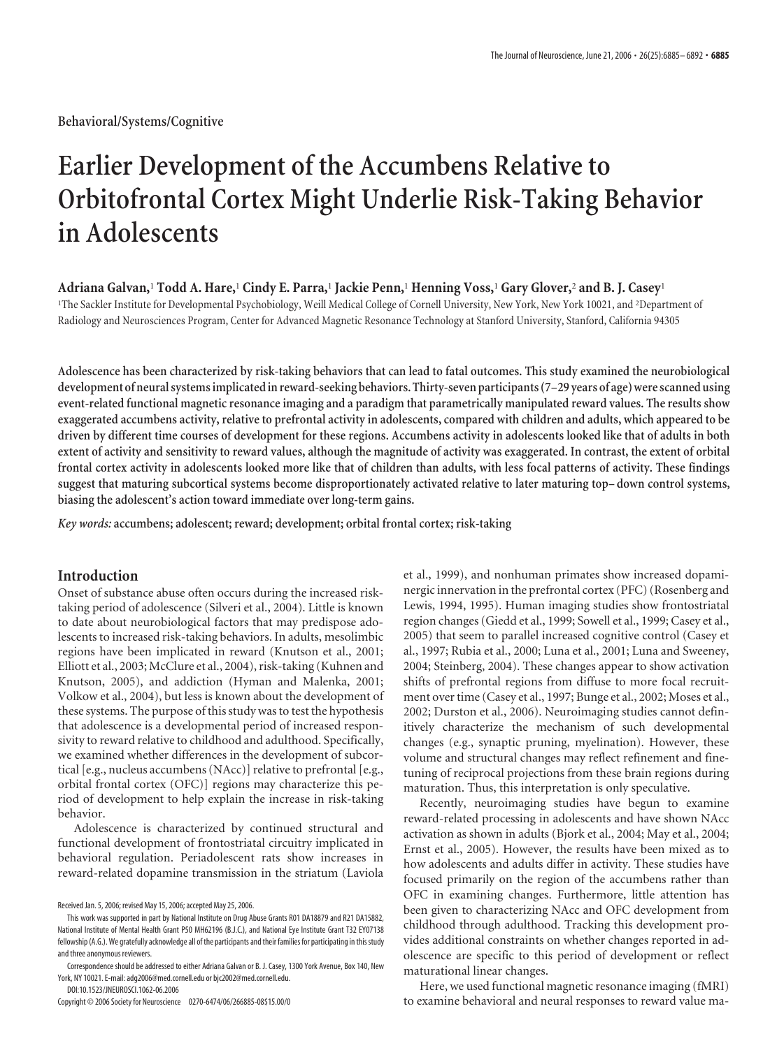**Behavioral/Systems/Cognitive**

# **Earlier Development of the Accumbens Relative to Orbitofrontal Cortex Might Underlie Risk-Taking Behavior in Adolescents**

**Adriana Galvan,**<sup>1</sup> **Todd A. Hare,**<sup>1</sup> **Cindy E. Parra,**<sup>1</sup> **Jackie Penn,**<sup>1</sup> **Henning Voss,**<sup>1</sup> **Gary Glover,**<sup>2</sup> **and B. J. Casey**<sup>1</sup>

1 The Sackler Institute for Developmental Psychobiology, Weill Medical College of Cornell University, New York, New York 10021, and <sup>2</sup> Department of Radiology and Neurosciences Program, Center for Advanced Magnetic Resonance Technology at Stanford University, Stanford, California 94305

**Adolescence has been characterized by risk-taking behaviors that can lead to fatal outcomes. This study examined the neurobiological development of neural systemsimplicatedin reward-seeking behaviors. Thirty-seven participants (7–29 years of age) were scanned using event-related functional magnetic resonance imaging and a paradigm that parametrically manipulated reward values. The results show exaggerated accumbens activity, relative to prefrontal activity in adolescents, compared with children and adults, which appeared to be driven by different time courses of development for these regions. Accumbens activity in adolescents looked like that of adults in both extent of activity and sensitivity to reward values, although the magnitude of activity was exaggerated. In contrast, the extent of orbital frontal cortex activity in adolescents looked more like that of children than adults, with less focal patterns of activity. These findings suggest that maturing subcortical systems become disproportionately activated relative to later maturing top–down control systems, biasing the adolescent's action toward immediate over long-term gains.**

*Key words:* **accumbens; adolescent; reward; development; orbital frontal cortex; risk-taking**

# **Introduction**

Onset of substance abuse often occurs during the increased risktaking period of adolescence (Silveri et al., 2004). Little is known to date about neurobiological factors that may predispose adolescents to increased risk-taking behaviors. In adults, mesolimbic regions have been implicated in reward (Knutson et al., 2001; Elliott et al., 2003; McClure et al., 2004), risk-taking (Kuhnen and Knutson, 2005), and addiction (Hyman and Malenka, 2001; Volkow et al., 2004), but less is known about the development of these systems. The purpose of this study was to test the hypothesis that adolescence is a developmental period of increased responsivity to reward relative to childhood and adulthood. Specifically, we examined whether differences in the development of subcortical [e.g., nucleus accumbens (NAcc)] relative to prefrontal [e.g., orbital frontal cortex (OFC)] regions may characterize this period of development to help explain the increase in risk-taking behavior.

Adolescence is characterized by continued structural and functional development of frontostriatal circuitry implicated in behavioral regulation. Periadolescent rats show increases in reward-related dopamine transmission in the striatum (Laviola

Copyright © 2006 Society for Neuroscience 0270-6474/06/266885-08\$15.00/0

et al., 1999), and nonhuman primates show increased dopaminergic innervation in the prefrontal cortex (PFC) (Rosenberg and Lewis, 1994, 1995). Human imaging studies show frontostriatal region changes (Giedd et al., 1999; Sowell et al., 1999; Casey et al., 2005) that seem to parallel increased cognitive control (Casey et al., 1997; Rubia et al., 2000; Luna et al., 2001; Luna and Sweeney, 2004; Steinberg, 2004). These changes appear to show activation shifts of prefrontal regions from diffuse to more focal recruitment over time (Casey et al., 1997; Bunge et al., 2002; Moses et al., 2002; Durston et al., 2006). Neuroimaging studies cannot definitively characterize the mechanism of such developmental changes (e.g., synaptic pruning, myelination). However, these volume and structural changes may reflect refinement and finetuning of reciprocal projections from these brain regions during maturation. Thus, this interpretation is only speculative.

Recently, neuroimaging studies have begun to examine reward-related processing in adolescents and have shown NAcc activation as shown in adults (Bjork et al., 2004; May et al., 2004; Ernst et al., 2005). However, the results have been mixed as to how adolescents and adults differ in activity. These studies have focused primarily on the region of the accumbens rather than OFC in examining changes. Furthermore, little attention has been given to characterizing NAcc and OFC development from childhood through adulthood. Tracking this development provides additional constraints on whether changes reported in adolescence are specific to this period of development or reflect maturational linear changes.

Here, we used functional magnetic resonance imaging (fMRI) to examine behavioral and neural responses to reward value ma-

Received Jan. 5, 2006; revised May 15, 2006; accepted May 25, 2006.

This work was supported in part by National Institute on Drug Abuse Grants R01 DA18879 and R21 DA15882, National Institute of Mental Health Grant P50 MH62196 (B.J.C.), and National Eye Institute Grant T32 EY07138 fellowship (A.G.). We gratefully acknowledge all of the participants and their families for participating in this study and three anonymous reviewers.

Correspondence should be addressed to either Adriana Galvan or B. J. Casey, 1300 York Avenue, Box 140, New York, NY 10021. E-mail: adg2006@med.cornell.edu or bjc2002@med.cornell.edu. DOI:10.1523/JNEUROSCI.1062-06.2006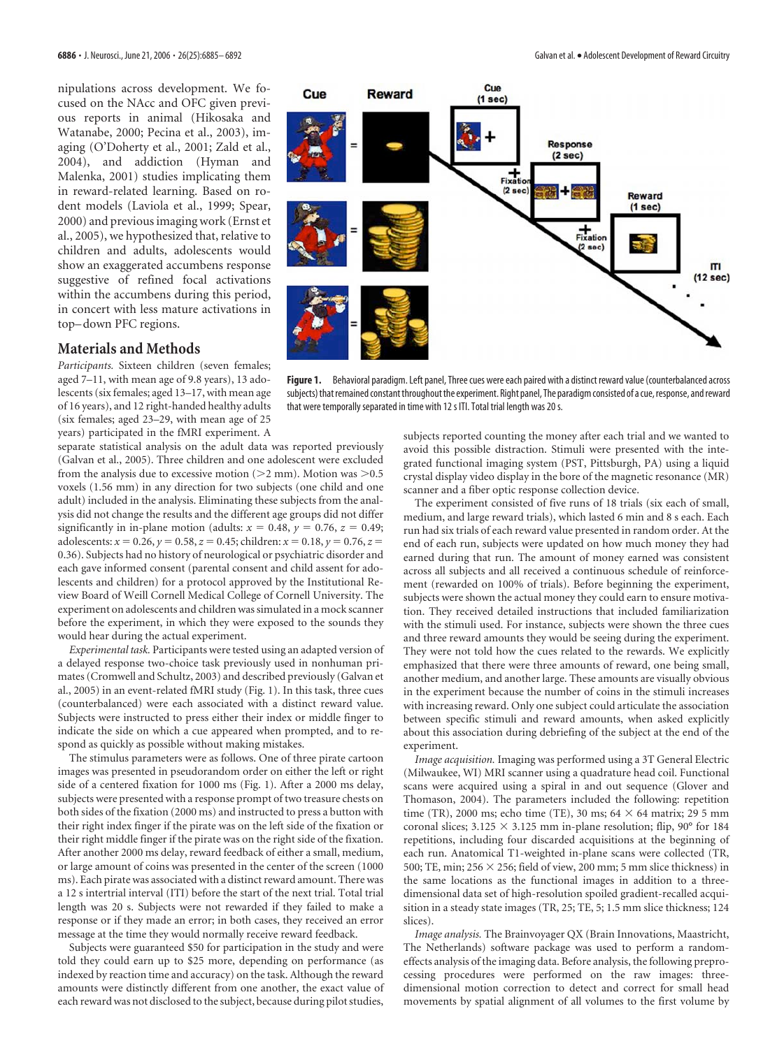nipulations across development. We focused on the NAcc and OFC given previous reports in animal (Hikosaka and Watanabe, 2000; Pecina et al., 2003), imaging (O'Doherty et al., 2001; Zald et al., 2004), and addiction (Hyman and Malenka, 2001) studies implicating them in reward-related learning. Based on rodent models (Laviola et al., 1999; Spear, 2000) and previous imaging work (Ernst et al., 2005), we hypothesized that, relative to children and adults, adolescents would show an exaggerated accumbens response suggestive of refined focal activations within the accumbens during this period, in concert with less mature activations in top– down PFC regions.

# **Materials and Methods**

*Participants.* Sixteen children (seven females; aged 7–11, with mean age of 9.8 years), 13 adolescents (six females; aged 13–17, with mean age of 16 years), and 12 right-handed healthy adults (six females; aged 23–29, with mean age of 25 years) participated in the fMRI experiment. A

separate statistical analysis on the adult data was reported previously (Galvan et al., 2005). Three children and one adolescent were excluded from the analysis due to excessive motion ( $>2$  mm). Motion was  $>0.5$ voxels (1.56 mm) in any direction for two subjects (one child and one adult) included in the analysis. Eliminating these subjects from the analysis did not change the results and the different age groups did not differ significantly in in-plane motion (adults:  $x = 0.48$ ,  $y = 0.76$ ,  $z = 0.49$ ; adolescents:  $x = 0.26$ ,  $y = 0.58$ ,  $z = 0.45$ ; children:  $x = 0.18$ ,  $y = 0.76$ ,  $z =$ 0.36). Subjects had no history of neurological or psychiatric disorder and each gave informed consent (parental consent and child assent for adolescents and children) for a protocol approved by the Institutional Review Board of Weill Cornell Medical College of Cornell University. The experiment on adolescents and children was simulated in a mock scanner before the experiment, in which they were exposed to the sounds they would hear during the actual experiment.

*Experimental task.* Participants were tested using an adapted version of a delayed response two-choice task previously used in nonhuman primates (Cromwell and Schultz, 2003) and described previously (Galvan et al., 2005) in an event-related fMRI study (Fig. 1). In this task, three cues (counterbalanced) were each associated with a distinct reward value. Subjects were instructed to press either their index or middle finger to indicate the side on which a cue appeared when prompted, and to respond as quickly as possible without making mistakes.

The stimulus parameters were as follows. One of three pirate cartoon images was presented in pseudorandom order on either the left or right side of a centered fixation for 1000 ms (Fig. 1). After a 2000 ms delay, subjects were presented with a response prompt of two treasure chests on both sides of the fixation (2000 ms) and instructed to press a button with their right index finger if the pirate was on the left side of the fixation or their right middle finger if the pirate was on the right side of the fixation. After another 2000 ms delay, reward feedback of either a small, medium, or large amount of coins was presented in the center of the screen (1000 ms). Each pirate was associated with a distinct reward amount. There was a 12 s intertrial interval (ITI) before the start of the next trial. Total trial length was 20 s. Subjects were not rewarded if they failed to make a response or if they made an error; in both cases, they received an error message at the time they would normally receive reward feedback.

Subjects were guaranteed \$50 for participation in the study and were told they could earn up to \$25 more, depending on performance (as indexed by reaction time and accuracy) on the task. Although the reward amounts were distinctly different from one another, the exact value of each reward was not disclosed to the subject, because during pilot studies,



Figure 1. Behavioral paradigm. Left panel, Three cues were each paired with a distinct reward value (counterbalanced across subjects) that remained constant throughout the experiment. Right panel, The paradigm consisted of a cue, response, and reward that were temporally separated in time with 12 s ITI. Total trial length was 20 s.

subjects reported counting the money after each trial and we wanted to avoid this possible distraction. Stimuli were presented with the integrated functional imaging system (PST, Pittsburgh, PA) using a liquid crystal display video display in the bore of the magnetic resonance (MR) scanner and a fiber optic response collection device.

The experiment consisted of five runs of 18 trials (six each of small, medium, and large reward trials), which lasted 6 min and 8 s each. Each run had six trials of each reward value presented in random order. At the end of each run, subjects were updated on how much money they had earned during that run. The amount of money earned was consistent across all subjects and all received a continuous schedule of reinforcement (rewarded on 100% of trials). Before beginning the experiment, subjects were shown the actual money they could earn to ensure motivation. They received detailed instructions that included familiarization with the stimuli used. For instance, subjects were shown the three cues and three reward amounts they would be seeing during the experiment. They were not told how the cues related to the rewards. We explicitly emphasized that there were three amounts of reward, one being small, another medium, and another large. These amounts are visually obvious in the experiment because the number of coins in the stimuli increases with increasing reward. Only one subject could articulate the association between specific stimuli and reward amounts, when asked explicitly about this association during debriefing of the subject at the end of the experiment.

*Image acquisition.* Imaging was performed using a 3T General Electric (Milwaukee, WI) MRI scanner using a quadrature head coil. Functional scans were acquired using a spiral in and out sequence (Glover and Thomason, 2004). The parameters included the following: repetition time (TR), 2000 ms; echo time (TE), 30 ms;  $64 \times 64$  matrix; 29 5 mm coronal slices;  $3.125 \times 3.125$  mm in-plane resolution; flip, 90° for 184 repetitions, including four discarded acquisitions at the beginning of each run. Anatomical T1-weighted in-plane scans were collected (TR, 500; TE, min; 256  $\times$  256; field of view, 200 mm; 5 mm slice thickness) in the same locations as the functional images in addition to a threedimensional data set of high-resolution spoiled gradient-recalled acquisition in a steady state images (TR, 25; TE, 5; 1.5 mm slice thickness; 124 slices).

*Image analysis.* The Brainvoyager QX (Brain Innovations, Maastricht, The Netherlands) software package was used to perform a randomeffects analysis of the imaging data. Before analysis, the following preprocessing procedures were performed on the raw images: threedimensional motion correction to detect and correct for small head movements by spatial alignment of all volumes to the first volume by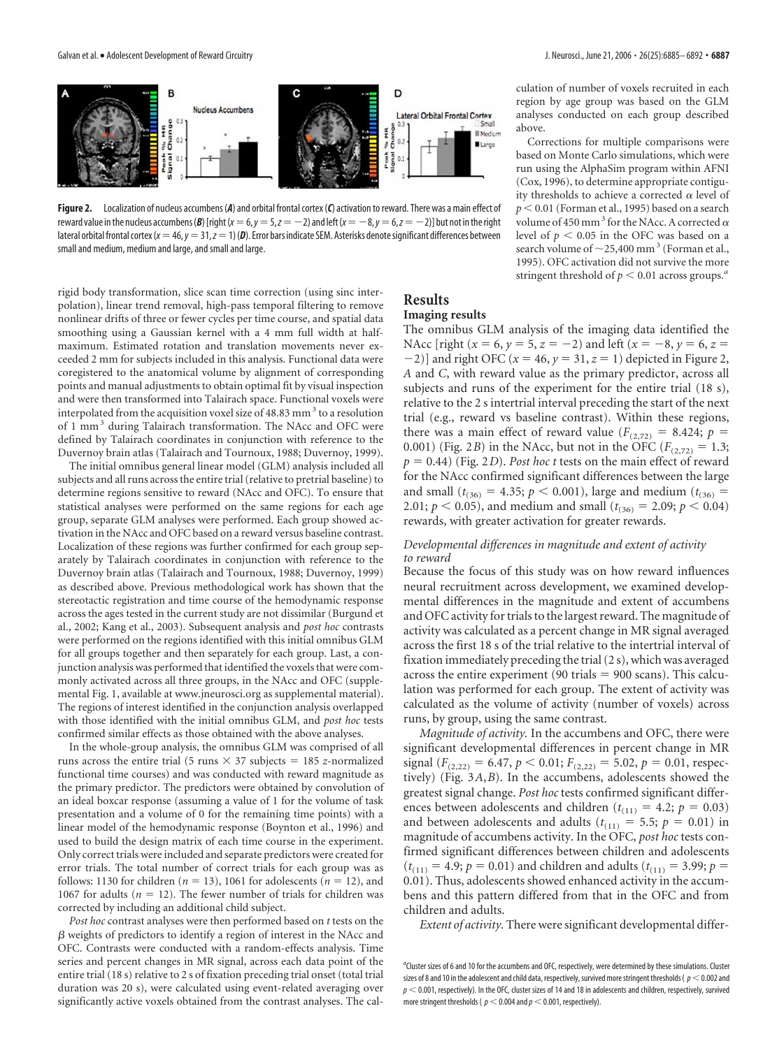

**Figure 2.** Localization of nucleus accumbens (*A*) and orbital frontal cortex (*C*) activation to reward. There was a main effect of reward value in the nucleus accumbens (*B*) [right( $x = 6$ ,  $y = 5$ ,  $z = -2$ ) and left( $x = -8$ ,  $y = 6$ ,  $z = -2$ )] but not in the right lateral orbital frontal cortex ( $x = 46$ ,  $y = 31$ ,  $z = 1$ ) (D). Error bars indicate SEM. Asterisks denote significant differences between small and medium, medium and large, and small and large.

rigid body transformation, slice scan time correction (using sinc interpolation), linear trend removal, high-pass temporal filtering to remove nonlinear drifts of three or fewer cycles per time course, and spatial data smoothing using a Gaussian kernel with a 4 mm full width at halfmaximum. Estimated rotation and translation movements never exceeded 2 mm for subjects included in this analysis. Functional data were coregistered to the anatomical volume by alignment of corresponding points and manual adjustments to obtain optimal fit by visual inspection and were then transformed into Talairach space. Functional voxels were interpolated from the acquisition voxel size of  $48.83$  mm<sup>3</sup> to a resolution of 1 mm<sup>3</sup> during Talairach transformation. The NAcc and OFC were defined by Talairach coordinates in conjunction with reference to the Duvernoy brain atlas (Talairach and Tournoux, 1988; Duvernoy, 1999).

The initial omnibus general linear model (GLM) analysis included all subjects and all runs across the entire trial (relative to pretrial baseline) to determine regions sensitive to reward (NAcc and OFC). To ensure that statistical analyses were performed on the same regions for each age group, separate GLM analyses were performed. Each group showed activation in the NAcc and OFC based on a reward versus baseline contrast. Localization of these regions was further confirmed for each group separately by Talairach coordinates in conjunction with reference to the Duvernoy brain atlas (Talairach and Tournoux, 1988; Duvernoy, 1999) as described above. Previous methodological work has shown that the stereotactic registration and time course of the hemodynamic response across the ages tested in the current study are not dissimilar (Burgund et al., 2002; Kang et al., 2003). Subsequent analysis and *post hoc* contrasts were performed on the regions identified with this initial omnibus GLM for all groups together and then separately for each group. Last, a conjunction analysis was performed that identified the voxels that were commonly activated across all three groups, in the NAcc and OFC (supplemental Fig. 1, available at www.jneurosci.org as supplemental material). The regions of interest identified in the conjunction analysis overlapped with those identified with the initial omnibus GLM, and *post hoc* tests confirmed similar effects as those obtained with the above analyses.

In the whole-group analysis, the omnibus GLM was comprised of all runs across the entire trial (5 runs  $\times$  37 subjects = 185 *z*-normalized functional time courses) and was conducted with reward magnitude as the primary predictor. The predictors were obtained by convolution of an ideal boxcar response (assuming a value of 1 for the volume of task presentation and a volume of 0 for the remaining time points) with a linear model of the hemodynamic response (Boynton et al., 1996) and used to build the design matrix of each time course in the experiment. Only correct trials were included and separate predictors were created for error trials. The total number of correct trials for each group was as follows: 1130 for children ( $n = 13$ ), 1061 for adolescents ( $n = 12$ ), and 1067 for adults ( $n = 12$ ). The fewer number of trials for children was corrected by including an additional child subject.

*Post hoc* contrast analyses were then performed based on *t* tests on the  $\beta$  weights of predictors to identify a region of interest in the NAcc and OFC. Contrasts were conducted with a random-effects analysis. Time series and percent changes in MR signal, across each data point of the entire trial (18 s) relative to 2 s of fixation preceding trial onset (total trial duration was 20 s), were calculated using event-related averaging over significantly active voxels obtained from the contrast analyses. The cal-

culation of number of voxels recruited in each region by age group was based on the GLM analyses conducted on each group described above.

Corrections for multiple comparisons were based on Monte Carlo simulations, which were run using the AlphaSim program within AFNI (Cox, 1996), to determine appropriate contiguity thresholds to achieve a corrected  $\alpha$  level of  $p < 0.01$  (Forman et al., 1995) based on a search volume of 450 mm<sup>3</sup> for the NAcc. A corrected  $\alpha$ level of  $p < 0.05$  in the OFC was based on a search volume of  $\sim$  25,400 mm<sup>3</sup> (Forman et al., 1995). OFC activation did not survive the more stringent threshold of  $p < 0.01$  across groups.<sup>*a*</sup>

#### **Results Imaging results**

The omnibus GLM analysis of the imaging data identified the NAcc [right ( $x = 6$ ,  $y = 5$ ,  $z = -2$ ) and left ( $x = -8$ ,  $y = 6$ ,  $z =$  $(-2)$ ] and right OFC ( $x = 46$ ,  $y = 31$ ,  $z = 1$ ) depicted in Figure 2, *A* and *C*, with reward value as the primary predictor, across all subjects and runs of the experiment for the entire trial (18 s), relative to the 2 s intertrial interval preceding the start of the next trial (e.g., reward vs baseline contrast). Within these regions, there was a main effect of reward value  $(F_{(2,72)} = 8.424; p =$ 0.001) (Fig. 2*B*) in the NAcc, but not in the OFC ( $F_{(2,72)} = 1.3$ ;  $p = 0.44$ ) (Fig. 2*D*). *Post hoc t* tests on the main effect of reward for the NAcc confirmed significant differences between the large and small ( $t_{(36)} = 4.35$ ;  $p < 0.001$ ), large and medium ( $t_{(36)} =$ 2.01;  $p < 0.05$ ), and medium and small ( $t<sub>(36)</sub> = 2.09$ ;  $p < 0.04$ ) rewards, with greater activation for greater rewards.

### *Developmental differences in magnitude and extent of activity to reward*

Because the focus of this study was on how reward influences neural recruitment across development, we examined developmental differences in the magnitude and extent of accumbens and OFC activity for trials to the largest reward. The magnitude of activity was calculated as a percent change in MR signal averaged across the first 18 s of the trial relative to the intertrial interval of fixation immediately preceding the trial (2 s), which was averaged across the entire experiment (90 trials  $= 900$  scans). This calculation was performed for each group. The extent of activity was calculated as the volume of activity (number of voxels) across runs, by group, using the same contrast.

*Magnitude of activity.* In the accumbens and OFC, there were significant developmental differences in percent change in MR signal ( $F_{(2,22)} = 6.47$ ,  $p < 0.01$ ;  $F_{(2,22)} = 5.02$ ,  $p = 0.01$ , respectively) (Fig. 3*A*,*B*). In the accumbens, adolescents showed the greatest signal change. *Post hoc* tests confirmed significant differences between adolescents and children ( $t_{(11)} = 4.2$ ;  $p = 0.03$ ) and between adolescents and adults ( $t_{(11)} = 5.5$ ;  $p = 0.01$ ) in magnitude of accumbens activity. In the OFC, *post hoc* tests confirmed significant differences between children and adolescents  $(t_{(11)} = 4.9; p = 0.01)$  and children and adults  $(t_{(11)} = 3.99; p = 0.01)$ 0.01). Thus, adolescents showed enhanced activity in the accumbens and this pattern differed from that in the OFC and from children and adults.

*Extent of activity.* There were significant developmental differ-

<sup>&</sup>lt;sup>a</sup>Cluster sizes of 6 and 10 for the accumbens and OFC, respectively, were determined by these simulations. Cluster sizes of 8 and 10 in the adolescent and child data, respectively, survived more stringent thresholds ( $p < 0.002$  and  $p < 0.001$ , respectively). In the OFC, cluster sizes of 14 and 18 in adolescents and children, respectively, survived more stringent thresholds ( $p < 0.004$  and  $p < 0.001$ , respectively).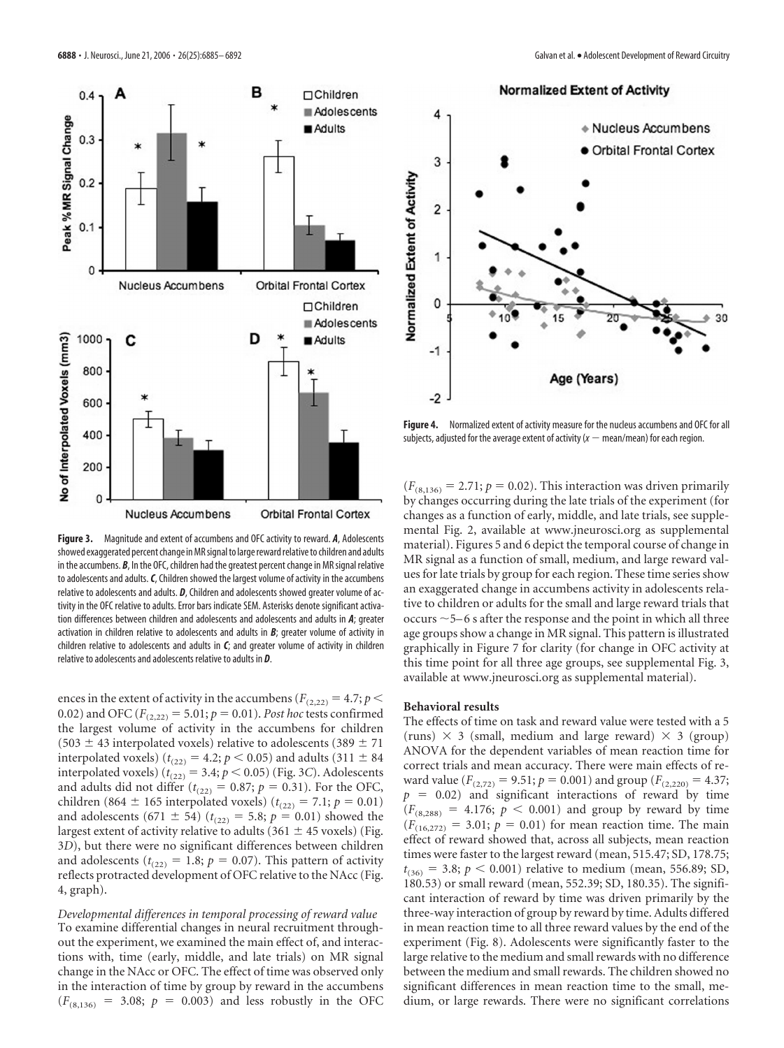

**Figure 3.** Magnitude and extent of accumbens and OFC activity to reward. *A*, Adolescents showed exaggerated percent change in MR signal to large reward relative to children and adults in the accumbens. **B**, In the OFC, children had the greatest percent change in MR signal relative to adolescents and adults.*C*, Children showed the largest volume of activity in the accumbens relative to adolescents and adults. *D*, Children and adolescents showed greater volume of activity in the OFC relative to adults. Error bars indicate SEM. Asterisks denote significant activation differences between children and adolescents and adolescents and adults in *A*; greater activation in children relative to adolescents and adults in *B*; greater volume of activity in children relative to adolescents and adults in *C*; and greater volume of activity in children relative to adolescents and adolescents relative to adults in *D*.

ences in the extent of activity in the accumbens ( $F_{(2,22)} = 4.7; p <$ 0.02) and OFC  $(F_{(2,22)} = 5.01; p = 0.01)$ . *Post hoc* tests confirmed the largest volume of activity in the accumbens for children (503  $\pm$  43 interpolated voxels) relative to adolescents (389  $\pm$  71 interpolated voxels) ( $t_{(22)} = 4.2$ ;  $p < 0.05$ ) and adults (311  $\pm$  84 interpolated voxels) ( $t_{(22)} = 3.4$ ;  $p < 0.05$ ) (Fig. 3*C*). Adolescents and adults did not differ  $(t_{(22)} = 0.87; p = 0.31)$ . For the OFC, children (864  $\pm$  165 interpolated voxels) ( $t_{(22)} = 7.1$ ;  $p = 0.01$ ) and adolescents (671  $\pm$  54) ( $t_{(22)} = 5.8$ ;  $p = 0.01$ ) showed the largest extent of activity relative to adults (361  $\pm$  45 voxels) (Fig. 3*D*), but there were no significant differences between children and adolescents ( $t_{(22)} = 1.8$ ;  $p = 0.07$ ). This pattern of activity reflects protracted development of OFC relative to the NAcc (Fig. 4, graph).

*Developmental differences in temporal processing of reward value* To examine differential changes in neural recruitment throughout the experiment, we examined the main effect of, and interactions with, time (early, middle, and late trials) on MR signal change in the NAcc or OFC. The effect of time was observed only in the interaction of time by group by reward in the accumbens  $(F_{(8,136)} = 3.08; p = 0.003)$  and less robustly in the OFC **Normalized Extent of Activity** 



**Figure 4.** Normalized extent of activity measure for the nucleus accumbens and OFC for all subjects, adjusted for the average extent of activity  $(x - \text{mean}/\text{mean})$  for each region.

 $(F_{(8,136)} = 2.71; p = 0.02)$ . This interaction was driven primarily by changes occurring during the late trials of the experiment (for changes as a function of early, middle, and late trials, see supplemental Fig. 2, available at www.jneurosci.org as supplemental material). Figures 5 and 6 depict the temporal course of change in MR signal as a function of small, medium, and large reward values for late trials by group for each region. These time series show an exaggerated change in accumbens activity in adolescents relative to children or adults for the small and large reward trials that occurs  $\sim$  5–6 s after the response and the point in which all three age groups show a change in MR signal. This pattern is illustrated graphically in Figure 7 for clarity (for change in OFC activity at this time point for all three age groups, see supplemental Fig. 3, available at www.jneurosci.org as supplemental material).

# **Behavioral results**

The effects of time on task and reward value were tested with a 5 (runs)  $\times$  3 (small, medium and large reward)  $\times$  3 (group) ANOVA for the dependent variables of mean reaction time for correct trials and mean accuracy. There were main effects of reward value ( $F_{(2,72)} = 9.51$ ;  $p = 0.001$ ) and group ( $F_{(2,220)} = 4.37$ ;  $p = 0.02$ ) and significant interactions of reward by time  $(F_{(8,288)} = 4.176; p < 0.001)$  and group by reward by time  $(F_{(16,272)} = 3.01; p = 0.01)$  for mean reaction time. The main effect of reward showed that, across all subjects, mean reaction times were faster to the largest reward (mean, 515.47; SD, 178.75;  $t_{(36)} = 3.8$ ;  $p < 0.001$ ) relative to medium (mean, 556.89; SD, 180.53) or small reward (mean, 552.39; SD, 180.35). The significant interaction of reward by time was driven primarily by the three-way interaction of group by reward by time. Adults differed in mean reaction time to all three reward values by the end of the experiment (Fig. 8). Adolescents were significantly faster to the large relative to the medium and small rewards with no difference between the medium and small rewards. The children showed no significant differences in mean reaction time to the small, medium, or large rewards. There were no significant correlations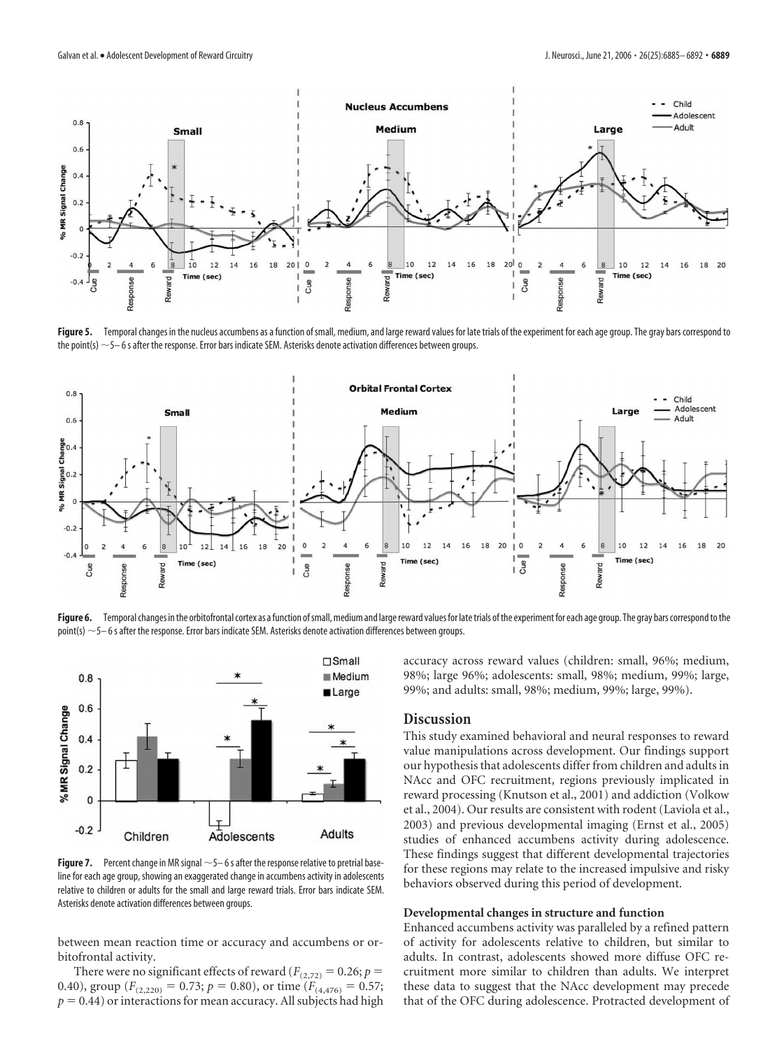

Figure 5. Temporal changes in the nucleus accumbens as a function of small, medium, and large reward values for late trials of the experiment for each age group. The gray bars correspond to the point(s)  $\sim$  5– 6 s after the response. Error bars indicate SEM. Asterisks denote activation differences between groups.



Figure 6. Temporal changes in the orbitofrontal cortex as a function of small, medium and large reward values for late trials of the experiment for each age group. The gray bars correspond to the point(s)  $\sim$  5–6 s after the response. Error bars indicate SEM. Asterisks denote activation differences between groups.



**Figure 7.** Percent change in MR signal  $\sim$  5–6 s after the response relative to pretrial baseline for each age group, showing an exaggerated change in accumbens activity in adolescents relative to children or adults for the small and large reward trials. Error bars indicate SEM. Asterisks denote activation differences between groups.

between mean reaction time or accuracy and accumbens or orbitofrontal activity.

There were no significant effects of reward ( $F_{(2,72)} = 0.26$ ;  $p =$ 0.40), group ( $F_{(2,220)} = 0.73$ ;  $p = 0.80$ ), or time ( $F_{(4,476)} = 0.57$ ;  $p = 0.44$ ) or interactions for mean accuracy. All subjects had high accuracy across reward values (children: small, 96%; medium, 98%; large 96%; adolescents: small, 98%; medium, 99%; large, 99%; and adults: small, 98%; medium, 99%; large, 99%).

#### **Discussion**

This study examined behavioral and neural responses to reward value manipulations across development. Our findings support our hypothesis that adolescents differ from children and adults in NAcc and OFC recruitment, regions previously implicated in reward processing (Knutson et al., 2001) and addiction (Volkow et al., 2004). Our results are consistent with rodent (Laviola et al., 2003) and previous developmental imaging (Ernst et al., 2005) studies of enhanced accumbens activity during adolescence. These findings suggest that different developmental trajectories for these regions may relate to the increased impulsive and risky behaviors observed during this period of development.

### **Developmental changes in structure and function**

Enhanced accumbens activity was paralleled by a refined pattern of activity for adolescents relative to children, but similar to adults. In contrast, adolescents showed more diffuse OFC recruitment more similar to children than adults. We interpret these data to suggest that the NAcc development may precede that of the OFC during adolescence. Protracted development of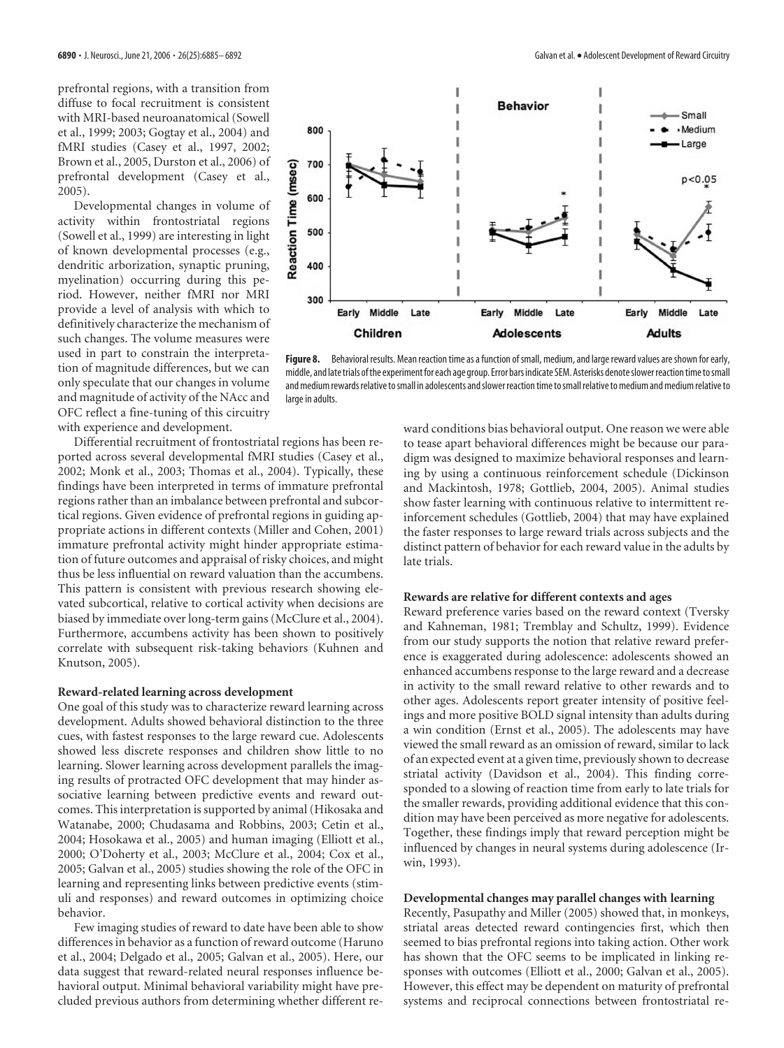prefrontal regions, with a transition from diffuse to focal recruitment is consistent with MRI-based neuroanatomical (Sowell et al., 1999; 2003; Gogtay et al., 2004) and fMRI studies (Casey et al., 1997, 2002; Brown et al., 2005, Durston et al., 2006) of prefrontal development (Casey et al., 2005).

Developmental changes in volume of activity within frontostriatal regions (Sowell et al., 1999) are interesting in light of known developmental processes (e.g., dendritic arborization, synaptic pruning, myelination) occurring during this period. However, neither fMRI nor MRI provide a level of analysis with which to definitively characterize the mechanism of such changes. The volume measures were used in part to constrain the interpretation of magnitude differences, but we can only speculate that our changes in volume and magnitude of activity of the NAcc and OFC reflect a fine-tuning of this circuitry with experience and development.

Differential recruitment of frontostriatal regions has been reported across several developmental fMRI studies (Casey et al., 2002; Monk et al., 2003; Thomas et al., 2004). Typically, these findings have been interpreted in terms of immature prefrontal regions rather than an imbalance between prefrontal and subcortical regions. Given evidence of prefrontal regions in guiding appropriate actions in different contexts (Miller and Cohen, 2001) immature prefrontal activity might hinder appropriate estimation of future outcomes and appraisal of risky choices, and might thus be less influential on reward valuation than the accumbens. This pattern is consistent with previous research showing elevated subcortical, relative to cortical activity when decisions are biased by immediate over long-term gains (McClure et al., 2004). Furthermore, accumbens activity has been shown to positively correlate with subsequent risk-taking behaviors (Kuhnen and Knutson, 2005).

#### **Reward-related learning across development**

One goal of this study was to characterize reward learning across development. Adults showed behavioral distinction to the three cues, with fastest responses to the large reward cue. Adolescents showed less discrete responses and children show little to no learning. Slower learning across development parallels the imaging results of protracted OFC development that may hinder associative learning between predictive events and reward outcomes. This interpretation is supported by animal (Hikosaka and Watanabe, 2000; Chudasama and Robbins, 2003; Cetin et al., 2004; Hosokawa et al., 2005) and human imaging (Elliott et al., 2000; O'Doherty et al., 2003; McClure et al., 2004; Cox et al., 2005; Galvan et al., 2005) studies showing the role of the OFC in learning and representing links between predictive events (stimuli and responses) and reward outcomes in optimizing choice behavior.

Few imaging studies of reward to date have been able to show differences in behavior as a function of reward outcome (Haruno et al., 2004; Delgado et al., 2005; Galvan et al., 2005). Here, our data suggest that reward-related neural responses influence behavioral output. Minimal behavioral variability might have precluded previous authors from determining whether different re-



**Figure 8.** Behavioral results. Mean reaction time as a function of small, medium, and large reward values are shown for early, middle, and late trials of the experiment for each age group. Error bars indicate SEM. Asterisks denote slower reaction time to small and medium rewards relative to small in adolescents and slower reaction time to small relative to medium and medium relative to large in adults.

ward conditions bias behavioral output. One reason we were able to tease apart behavioral differences might be because our paradigm was designed to maximize behavioral responses and learning by using a continuous reinforcement schedule (Dickinson and Mackintosh, 1978; Gottlieb, 2004, 2005). Animal studies show faster learning with continuous relative to intermittent reinforcement schedules (Gottlieb, 2004) that may have explained the faster responses to large reward trials across subjects and the distinct pattern of behavior for each reward value in the adults by late trials.

### **Rewards are relative for different contexts and ages**

Reward preference varies based on the reward context (Tversky and Kahneman, 1981; Tremblay and Schultz, 1999). Evidence from our study supports the notion that relative reward preference is exaggerated during adolescence: adolescents showed an enhanced accumbens response to the large reward and a decrease in activity to the small reward relative to other rewards and to other ages. Adolescents report greater intensity of positive feelings and more positive BOLD signal intensity than adults during a win condition (Ernst et al., 2005). The adolescents may have viewed the small reward as an omission of reward, similar to lack of an expected event at a given time, previously shown to decrease striatal activity (Davidson et al., 2004). This finding corresponded to a slowing of reaction time from early to late trials for the smaller rewards, providing additional evidence that this condition may have been perceived as more negative for adolescents. Together, these findings imply that reward perception might be influenced by changes in neural systems during adolescence (Irwin, 1993).

#### **Developmental changes may parallel changes with learning**

Recently, Pasupathy and Miller (2005) showed that, in monkeys, striatal areas detected reward contingencies first, which then seemed to bias prefrontal regions into taking action. Other work has shown that the OFC seems to be implicated in linking responses with outcomes (Elliott et al., 2000; Galvan et al., 2005). However, this effect may be dependent on maturity of prefrontal systems and reciprocal connections between frontostriatal re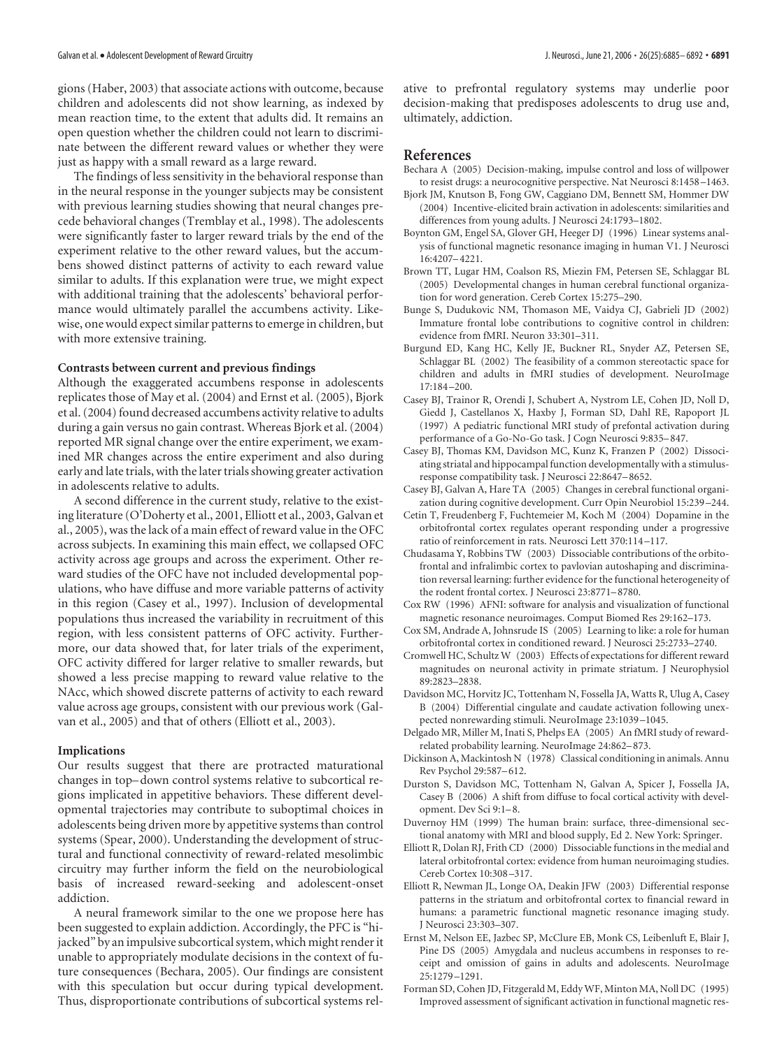gions (Haber, 2003) that associate actions with outcome, because children and adolescents did not show learning, as indexed by mean reaction time, to the extent that adults did. It remains an open question whether the children could not learn to discriminate between the different reward values or whether they were just as happy with a small reward as a large reward.

The findings of less sensitivity in the behavioral response than in the neural response in the younger subjects may be consistent with previous learning studies showing that neural changes precede behavioral changes (Tremblay et al., 1998). The adolescents were significantly faster to larger reward trials by the end of the experiment relative to the other reward values, but the accumbens showed distinct patterns of activity to each reward value similar to adults. If this explanation were true, we might expect with additional training that the adolescents' behavioral performance would ultimately parallel the accumbens activity. Likewise, one would expect similar patterns to emerge in children, but with more extensive training.

# **Contrasts between current and previous findings**

Although the exaggerated accumbens response in adolescents replicates those of May et al. (2004) and Ernst et al. (2005), Bjork et al. (2004) found decreased accumbens activity relative to adults during a gain versus no gain contrast. Whereas Bjork et al. (2004) reported MR signal change over the entire experiment, we examined MR changes across the entire experiment and also during early and late trials, with the later trials showing greater activation in adolescents relative to adults.

A second difference in the current study, relative to the existing literature (O'Doherty et al., 2001, Elliott et al., 2003, Galvan et al., 2005), was the lack of a main effect of reward value in the OFC across subjects. In examining this main effect, we collapsed OFC activity across age groups and across the experiment. Other reward studies of the OFC have not included developmental populations, who have diffuse and more variable patterns of activity in this region (Casey et al., 1997). Inclusion of developmental populations thus increased the variability in recruitment of this region, with less consistent patterns of OFC activity. Furthermore, our data showed that, for later trials of the experiment, OFC activity differed for larger relative to smaller rewards, but showed a less precise mapping to reward value relative to the NAcc, which showed discrete patterns of activity to each reward value across age groups, consistent with our previous work (Galvan et al., 2005) and that of others (Elliott et al., 2003).

#### **Implications**

Our results suggest that there are protracted maturational changes in top– down control systems relative to subcortical regions implicated in appetitive behaviors. These different developmental trajectories may contribute to suboptimal choices in adolescents being driven more by appetitive systems than control systems (Spear, 2000). Understanding the development of structural and functional connectivity of reward-related mesolimbic circuitry may further inform the field on the neurobiological basis of increased reward-seeking and adolescent-onset addiction.

A neural framework similar to the one we propose here has been suggested to explain addiction. Accordingly, the PFC is "hijacked" by an impulsive subcortical system, which might render it unable to appropriately modulate decisions in the context of future consequences (Bechara, 2005). Our findings are consistent with this speculation but occur during typical development. Thus, disproportionate contributions of subcortical systems relative to prefrontal regulatory systems may underlie poor decision-making that predisposes adolescents to drug use and, ultimately, addiction.

# **References**

- Bechara A (2005) Decision-making, impulse control and loss of willpower to resist drugs: a neurocognitive perspective. Nat Neurosci 8:1458 –1463.
- Bjork JM, Knutson B, Fong GW, Caggiano DM, Bennett SM, Hommer DW (2004) Incentive-elicited brain activation in adolescents: similarities and differences from young adults. J Neurosci 24:1793–1802.
- Boynton GM, Engel SA, Glover GH, Heeger DJ (1996) Linear systems analysis of functional magnetic resonance imaging in human V1. J Neurosci 16:4207– 4221.
- Brown TT, Lugar HM, Coalson RS, Miezin FM, Petersen SE, Schlaggar BL (2005) Developmental changes in human cerebral functional organization for word generation. Cereb Cortex 15:275–290.
- Bunge S, Dudukovic NM, Thomason ME, Vaidya CJ, Gabrieli JD (2002) Immature frontal lobe contributions to cognitive control in children: evidence from fMRI. Neuron 33:301–311.
- Burgund ED, Kang HC, Kelly JE, Buckner RL, Snyder AZ, Petersen SE, Schlaggar BL (2002) The feasibility of a common stereotactic space for children and adults in fMRI studies of development. NeuroImage 17:184 –200.
- Casey BJ, Trainor R, Orendi J, Schubert A, Nystrom LE, Cohen JD, Noll D, Giedd J, Castellanos X, Haxby J, Forman SD, Dahl RE, Rapoport JL (1997) A pediatric functional MRI study of prefontal activation during performance of a Go-No-Go task. J Cogn Neurosci 9:835– 847.
- Casey BJ, Thomas KM, Davidson MC, Kunz K, Franzen P (2002) Dissociating striatal and hippocampal function developmentally with a stimulusresponse compatibility task. J Neurosci 22:8647– 8652.
- Casey BJ, Galvan A, Hare TA (2005) Changes in cerebral functional organization during cognitive development. Curr Opin Neurobiol 15:239 –244.
- Cetin T, Freudenberg F, Fuchtemeier M, Koch M (2004) Dopamine in the orbitofrontal cortex regulates operant responding under a progressive ratio of reinforcement in rats. Neurosci Lett 370:114 –117.
- Chudasama Y, Robbins TW (2003) Dissociable contributions of the orbitofrontal and infralimbic cortex to pavlovian autoshaping and discrimination reversal learning: further evidence for the functional heterogeneity of the rodent frontal cortex. J Neurosci 23:8771– 8780.
- Cox RW (1996) AFNI: software for analysis and visualization of functional magnetic resonance neuroimages. Comput Biomed Res 29:162–173.
- Cox SM, Andrade A, Johnsrude IS (2005) Learning to like: a role for human orbitofrontal cortex in conditioned reward. J Neurosci 25:2733–2740.
- Cromwell HC, Schultz W (2003) Effects of expectations for different reward magnitudes on neuronal activity in primate striatum. J Neurophysiol 89:2823–2838.
- Davidson MC, Horvitz JC, Tottenham N, Fossella JA, Watts R, Ulug A, Casey B (2004) Differential cingulate and caudate activation following unexpected nonrewarding stimuli. NeuroImage 23:1039 –1045.
- Delgado MR, Miller M, Inati S, Phelps EA (2005) An fMRI study of rewardrelated probability learning. NeuroImage 24:862– 873.
- Dickinson A, Mackintosh N (1978) Classical conditioning in animals. Annu Rev Psychol 29:587– 612.
- Durston S, Davidson MC, Tottenham N, Galvan A, Spicer J, Fossella JA, Casey B (2006) A shift from diffuse to focal cortical activity with development. Dev Sci 9:1– 8.
- Duvernoy HM (1999) The human brain: surface, three-dimensional sectional anatomy with MRI and blood supply, Ed 2. New York: Springer.
- Elliott R, Dolan RJ, Frith CD (2000) Dissociable functions in the medial and lateral orbitofrontal cortex: evidence from human neuroimaging studies. Cereb Cortex 10:308 –317.
- Elliott R, Newman JL, Longe OA, Deakin JFW (2003) Differential response patterns in the striatum and orbitofrontal cortex to financial reward in humans: a parametric functional magnetic resonance imaging study. J Neurosci 23:303–307.
- Ernst M, Nelson EE, Jazbec SP, McClure EB, Monk CS, Leibenluft E, Blair J, Pine DS (2005) Amygdala and nucleus accumbens in responses to receipt and omission of gains in adults and adolescents. NeuroImage 25:1279 –1291.
- Forman SD, Cohen JD, Fitzgerald M, Eddy WF, Minton MA, Noll DC (1995) Improved assessment of significant activation in functional magnetic res-